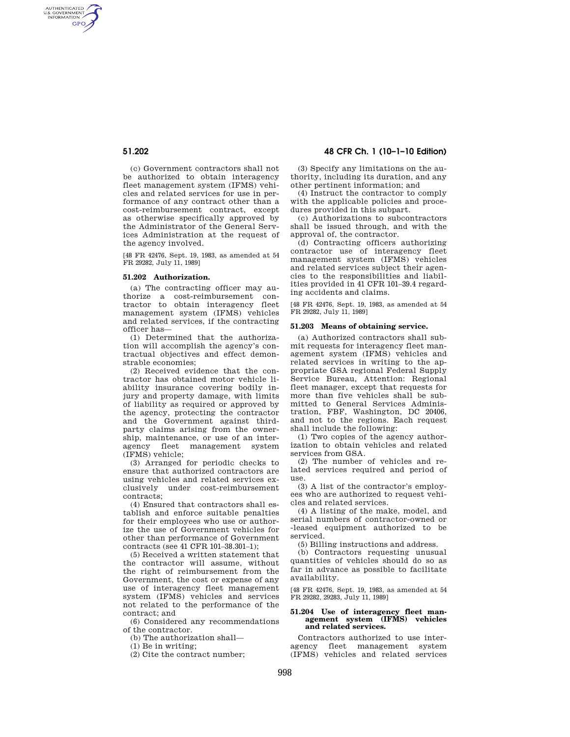AUTHENTICATED<br>U.S. GOVERNMENT<br>INFORMATION **GPO** 

> (c) Government contractors shall not be authorized to obtain interagency fleet management system (IFMS) vehicles and related services for use in performance of any contract other than a cost-reimbursement contract, except as otherwise specifically approved by the Administrator of the General Services Administration at the request of the agency involved.

> [48 FR 42476, Sept. 19, 1983, as amended at 54 FR 29282, July 11, 1989]

### **51.202 Authorization.**

(a) The contracting officer may authorize a cost-reimbursement contractor to obtain interagency fleet management system (IFMS) vehicles and related services, if the contracting officer has—

(1) Determined that the authorization will accomplish the agency's contractual objectives and effect demonstrable economies;

(2) Received evidence that the contractor has obtained motor vehicle liability insurance covering bodily injury and property damage, with limits of liability as required or approved by the agency, protecting the contractor and the Government against thirdparty claims arising from the ownership, maintenance, or use of an interagency fleet management system (IFMS) vehicle;

(3) Arranged for periodic checks to ensure that authorized contractors are using vehicles and related services exclusively under cost-reimbursement contracts;

(4) Ensured that contractors shall establish and enforce suitable penalties for their employees who use or authorize the use of Government vehicles for other than performance of Government contracts (see 41 CFR 101–38.301–1);

(5) Received a written statement that the contractor will assume, without the right of reimbursement from the Government, the cost or expense of any use of interagency fleet management system (IFMS) vehicles and services not related to the performance of the contract; and

(6) Considered any recommendations of the contractor.

(b) The authorization shall—

(1) Be in writing;

(2) Cite the contract number;

# **51.202 48 CFR Ch. 1 (10–1–10 Edition)**

(3) Specify any limitations on the authority, including its duration, and any other pertinent information; and

(4) Instruct the contractor to comply with the applicable policies and procedures provided in this subpart.

(c) Authorizations to subcontractors shall be issued through, and with the approval of, the contractor.

(d) Contracting officers authorizing contractor use of interagency fleet management system (IFMS) vehicles and related services subject their agencies to the responsibilities and liabilities provided in 41 CFR 101–39.4 regarding accidents and claims.

[48 FR 42476, Sept. 19, 1983, as amended at 54 FR 29282, July 11, 1989]

### **51.203 Means of obtaining service.**

(a) Authorized contractors shall submit requests for interagency fleet management system (IFMS) vehicles and related services in writing to the appropriate GSA regional Federal Supply Service Bureau, Attention: Regional fleet manager, except that requests for more than five vehicles shall be submitted to General Services Administration, FBF, Washington, DC 20406, and not to the regions. Each request shall include the following:

(1) Two copies of the agency authorization to obtain vehicles and related services from GSA.

(2) The number of vehicles and related services required and period of use.

(3) A list of the contractor's employees who are authorized to request vehicles and related services.

(4) A listing of the make, model, and serial numbers of contractor-owned or -leased equipment authorized to be serviced.

(5) Billing instructions and address.

(b) Contractors requesting unusual quantities of vehicles should do so as far in advance as possible to facilitate availability.

[48 FR 42476, Sept. 19, 1983, as amended at 54 FR 29282, 29283, July 11, 1989]

# **51.204 Use of interagency fleet man-agement system (IFMS) vehicles and related services.**

Contractors authorized to use interagency fleet management system (IFMS) vehicles and related services